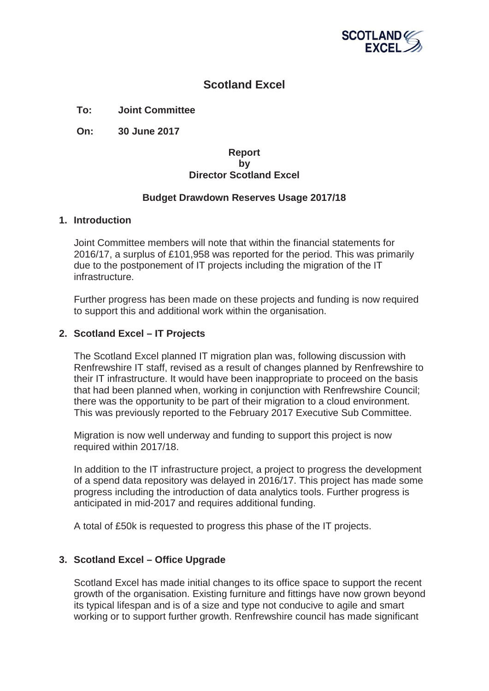

# **Scotland Excel**

## **To: Joint Committee**

**On: 30 June 2017**

#### **Report by Director Scotland Excel**

## **Budget Drawdown Reserves Usage 2017/18**

#### **1. Introduction**

Joint Committee members will note that within the financial statements for 2016/17, a surplus of £101,958 was reported for the period. This was primarily due to the postponement of IT projects including the migration of the IT infrastructure.

Further progress has been made on these projects and funding is now required to support this and additional work within the organisation.

## **2. Scotland Excel – IT Projects**

The Scotland Excel planned IT migration plan was, following discussion with Renfrewshire IT staff, revised as a result of changes planned by Renfrewshire to their IT infrastructure. It would have been inappropriate to proceed on the basis that had been planned when, working in conjunction with Renfrewshire Council; there was the opportunity to be part of their migration to a cloud environment. This was previously reported to the February 2017 Executive Sub Committee.

Migration is now well underway and funding to support this project is now required within 2017/18.

In addition to the IT infrastructure project, a project to progress the development of a spend data repository was delayed in 2016/17. This project has made some progress including the introduction of data analytics tools. Further progress is anticipated in mid-2017 and requires additional funding.

A total of £50k is requested to progress this phase of the IT projects.

#### **3. Scotland Excel – Office Upgrade**

Scotland Excel has made initial changes to its office space to support the recent growth of the organisation. Existing furniture and fittings have now grown beyond its typical lifespan and is of a size and type not conducive to agile and smart working or to support further growth. Renfrewshire council has made significant